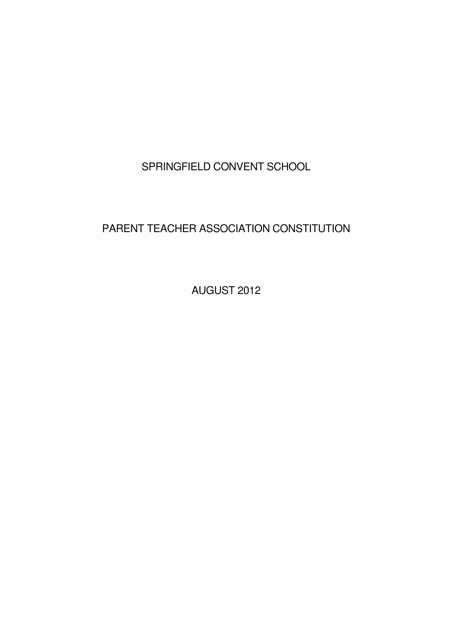SPRINGFIELD CONVENT SCHOOL

# PARENT TEACHER ASSOCIATION CONSTITUTION

AUGUST 2012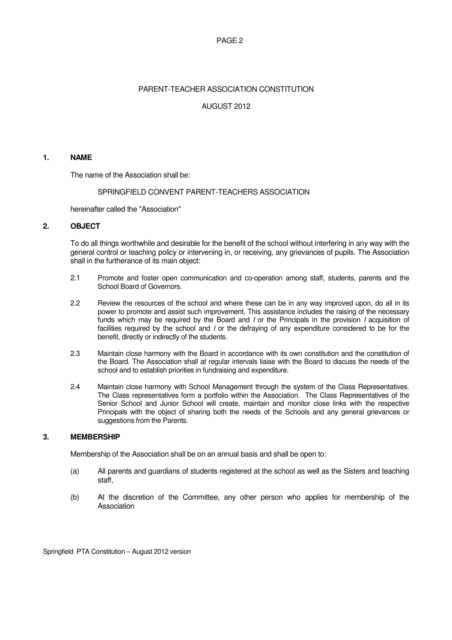## PAGE 2

# PARENT-TEACHER ASSOCIATION CONSTITUTION

# AUGUST 2012

## **1. NAME**

The name of the Association shall be:

## SPRINGFIELD CONVENT PARENT-TEACHERS ASSOCIATION

hereinafter called the "Association"

# **2. OBJECT**

To do all things worthwhile and desirable for the benefit of the school without interfering in any way with the general control or teaching policy or intervening in, or receiving, any grievances of pupils. The Association shall in the furtherance of its main object:

- 2.1 Promote and foster open communication and co-operation among staff, students, parents and the School Board of Governors.
- 2.2 Review the resources of the school and where these can be in any way improved upon, do all in its power to promote and assist such improvement. This assistance includes the raising of the necessary funds which may be required by the Board and *I* or the Principals in the provision *I* acquisition of facilities required by the school and I or the defraying of any expenditure considered to be for the benefit, directly or indirectly of the students.
- 2.3 Maintain close harmony with the Board in accordance with its own constitution and the constitution of the Board. The Association shall at regular intervals liaise with the Board to discuss the needs of the school and to establish priorities in fundraising and expenditure.
- 2.4 Maintain close harmony with School Management through the system of the Class Representatives. The Class representatives form a portfolio within the Association. The Class Representatives of the Senior School and Junior School will create, maintain and monitor close links with the respective Principals with the object of sharing both the needs of the Schools and any general grievances or suggestions from the Parents.

# **3. MEMBERSHIP**

Membership of the Association shall be on an annual basis and shall be open to:

- (a) All parents and guardians of students registered at the school as well as the Sisters and teaching staff,
- (b) At the discretion of the Committee, any other person who applies for membership of the Association

Springfield PTA Constitution – August 2012 version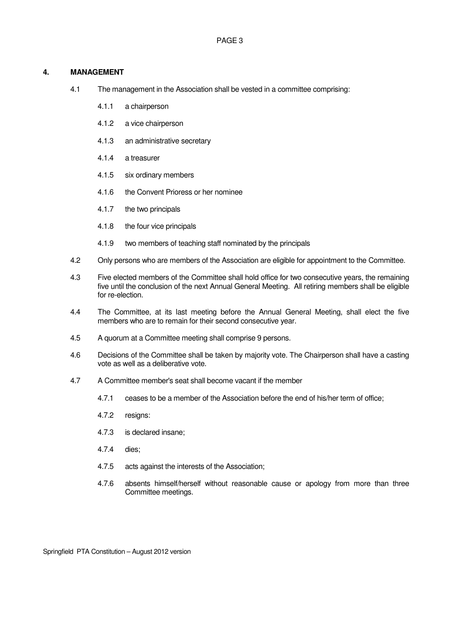## **4. MANAGEMENT**

- 4.1 The management in the Association shall be vested in a committee comprising:
	- 4.1.1 a chairperson
	- 4.1.2 a vice chairperson
	- 4.1.3 an administrative secretary
	- 4.1.4 a treasurer
	- 4.1.5 six ordinary members
	- 4.1.6 the Convent Prioress or her nominee
	- 4.1.7 the two principals
	- 4.1.8 the four vice principals
	- 4.1.9 two members of teaching staff nominated by the principals
- 4.2 Only persons who are members of the Association are eligible for appointment to the Committee.
- 4.3 Five elected members of the Committee shall hold office for two consecutive years, the remaining five until the conclusion of the next Annual General Meeting. All retiring members shall be eligible for re-election.
- 4.4 The Committee, at its last meeting before the Annual General Meeting, shall elect the five members who are to remain for their second consecutive year.
- 4.5 A quorum at a Committee meeting shall comprise 9 persons.
- 4.6 Decisions of the Committee shall be taken by majority vote. The Chairperson shall have a casting vote as well as a deliberative vote.
- 4.7 A Committee member's seat shall become vacant if the member
	- 4.7.1 ceases to be a member of the Association before the end of his/her term of office;
	- 4.7.2 resigns:
	- 4.7.3 is declared insane;
	- 4.7.4 dies;
	- 4.7.5 acts against the interests of the Association;
	- 4.7.6 absents himself/herself without reasonable cause or apology from more than three Committee meetings.

Springfield PTA Constitution – August 2012 version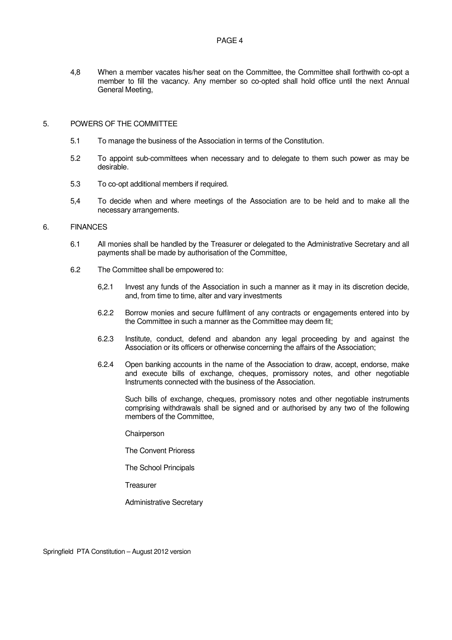4,8 When a member vacates his/her seat on the Committee, the Committee shall forthwith co-opt a member to fill the vacancy. Any member so co-opted shall hold office until the next Annual General Meeting,

#### 5. POWERS OF THE COMMITTEE

- 5.1 To manage the business of the Association in terms of the Constitution.
- 5.2 To appoint sub-committees when necessary and to delegate to them such power as may be desirable.
- 5.3 To co-opt additional members if required.
- 5,4 To decide when and where meetings of the Association are to be held and to make all the necessary arrangements.

## 6. FINANCES

- 6.1 All monies shall be handled by the Treasurer or delegated to the Administrative Secretary and all payments shall be made by authorisation of the Committee,
- 6.2 The Committee shall be empowered to:
	- 6,2.1 Invest any funds of the Association in such a manner as it may in its discretion decide, and, from time to time, alter and vary investments
	- 6.2.2 Borrow monies and secure fulfilment of any contracts or engagements entered into by the Committee in such a manner as the Committee may deem fit;
	- 6.2.3 Institute, conduct, defend and abandon any legal proceeding by and against the Association or its officers or otherwise concerning the affairs of the Association;
	- 6.2.4 Open banking accounts in the name of the Association to draw, accept, endorse, make and execute bills of exchange, cheques, promissory notes, and other negotiable Instruments connected with the business of the Association.

Such bills of exchange, cheques, promissory notes and other negotiable instruments comprising withdrawals shall be signed and or authorised by any two of the following members of the Committee,

**Chairperson** 

The Convent Prioress

The School Principals

**Treasurer** 

Administrative Secretary

Springfield PTA Constitution – August 2012 version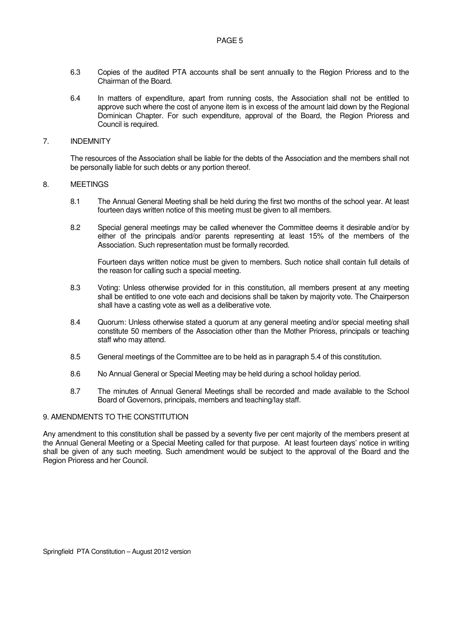- 6.3 Copies of the audited PTA accounts shall be sent annually to the Region Prioress and to the Chairman of the Board.
- 6.4 In matters of expenditure, apart from running costs, the Association shall not be entitled to approve such where the cost of anyone item is in excess of the amount laid down by the Regional Dominican Chapter. For such expenditure, approval of the Board, the Region Prioress and Council is required.

#### 7. INDEMNITY

The resources of the Association shall be liable for the debts of the Association and the members shall not be personally liable for such debts or any portion thereof.

#### 8. MEETINGS

- 8.1 The Annual General Meeting shall be held during the first two months of the school year. At least fourteen days written notice of this meeting must be given to all members.
- 8.2 Special general meetings may be called whenever the Committee deems it desirable and/or by either of the principals and/or parents representing at least 15% of the members of the Association. Such representation must be formally recorded.

Fourteen days written notice must be given to members. Such notice shall contain full details of the reason for calling such a special meeting.

- 8.3 Voting: Unless otherwise provided for in this constitution, all members present at any meeting shall be entitled to one vote each and decisions shall be taken by majority vote. The Chairperson shall have a casting vote as well as a deliberative vote.
- 8.4 Quorum: Unless otherwise stated a quorum at any general meeting and/or special meeting shall constitute 50 members of the Association other than the Mother Prioress, principals or teaching staff who may attend.
- 8.5 General meetings of the Committee are to be held as in paragraph 5.4 of this constitution.
- 8.6 No Annual General or Special Meeting may be held during a school holiday period.
- 8.7 The minutes of Annual General Meetings shall be recorded and made available to the School Board of Governors, principals, members and teaching/Iay staff.

### 9. AMENDMENTS TO THE CONSTITUTION

Any amendment to this constitution shall be passed by a seventy five per cent majority of the members present at the Annual General Meeting or a Special Meeting called for that purpose. At least fourteen days' notice in writing shall be given of any such meeting. Such amendment would be subject to the approval of the Board and the Region Prioress and her Council.